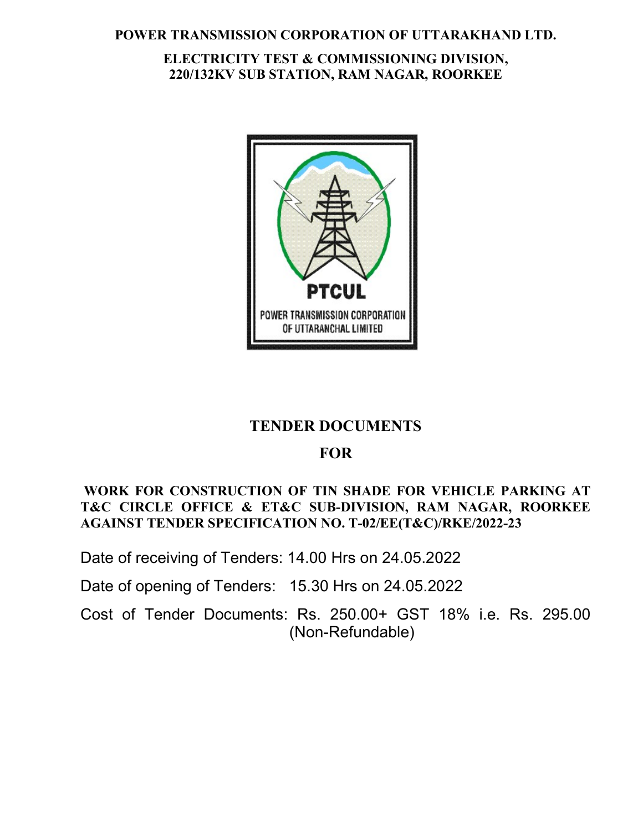### POWER TRANSMISSION CORPORATION OF UTTARAKHAND LTD.

# ELECTRICITY TEST & COMMISSIONING DIVISION, 220/132KV SUB STATION, RAM NAGAR, ROORKEE



# TENDER DOCUMENTS

# **FOR**

# WORK FOR CONSTRUCTION OF TIN SHADE FOR VEHICLE PARKING AT T&C CIRCLE OFFICE & ET&C SUB-DIVISION, RAM NAGAR, ROORKEE AGAINST TENDER SPECIFICATION NO. T-02/EE(T&C)/RKE/2022-23

Date of receiving of Tenders: 14.00 Hrs on 24.05.2022

Date of opening of Tenders: 15.30 Hrs on 24.05.2022

Cost of Tender Documents: Rs. 250.00+ GST 18% i.e. Rs. 295.00 (Non-Refundable)